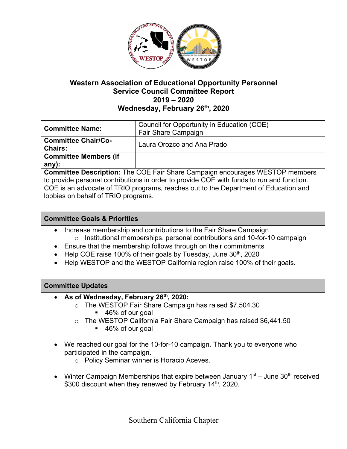

# **Western Association of Educational Opportunity Personnel Service Council Committee Report 2019 – 2020 Wednesday, February 26th, 2020**

|                                                                                           | Council for Opportunity in Education (COE) |
|-------------------------------------------------------------------------------------------|--------------------------------------------|
| <b>Committee Name:</b>                                                                    |                                            |
|                                                                                           | Fair Share Campaign                        |
| <b>Committee Chair/Co-</b>                                                                |                                            |
|                                                                                           | Laura Orozco and Ana Prado                 |
| <b>Chairs:</b>                                                                            |                                            |
| <b>Committee Members (if</b>                                                              |                                            |
| $any)$ :                                                                                  |                                            |
| <b>Committee Description:</b> The COE Fair Share Campaign encourages WESTOP members       |                                            |
| to provide personal contributions in order to provide COE with funds to run and function. |                                            |
| COE is an advocate of TRIO programs, reaches out to the Department of Education and       |                                            |
| lobbies on behalf of TRIO programs.                                                       |                                            |
|                                                                                           |                                            |

## **Committee Goals & Priorities**

- Increase membership and contributions to the Fair Share Campaign o Institutional memberships, personal contributions and 10-for-10 campaign
- Ensure that the membership follows through on their commitments
- Help COE raise 100% of their goals by Tuesday, June 30<sup>th</sup>, 2020
- Help WESTOP and the WESTOP California region raise 100% of their goals.

### **Committee Updates**

- **As of Wednesday, February 26th, 2020:**
	- o The WESTOP Fair Share Campaign has raised \$7,504.30
		- 46% of our goal
	- o The WESTOP California Fair Share Campaign has raised \$6,441.50
		- 46% of our goal
- We reached our goal for the 10-for-10 campaign. Thank you to everyone who participated in the campaign.
	- o Policy Seminar winner is Horacio Aceves.
- Winter Campaign Memberships that expire between January  $1<sup>st</sup> -$  June  $30<sup>th</sup>$  received \$300 discount when they renewed by February 14<sup>th</sup>, 2020.